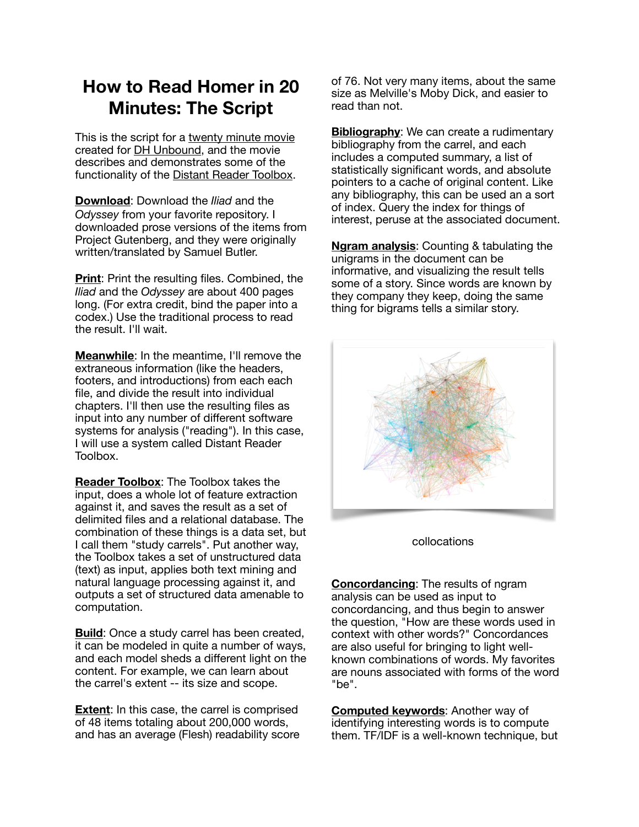## **How to Read Homer in 20 Minutes: The Script**

This is the script for a [twenty minute movie](https://youtu.be/IaAOhiOZAZo) created for [DH Unbound,](https://dhunbound2022.ach.org) and the movie describes and demonstrates some of the functionality of the [Distant Reader Toolbox.](https://reader-toolbox.readthedocs.io)

**[Download](https://youtu.be/IaAOhiOZAZo?t=11)**: Download the *Iliad* and the *Odyssey* from your favorite repository. I downloaded prose versions of the items from Project Gutenberg, and they were originally written/translated by Samuel Butler.

**[Print](https://youtu.be/IaAOhiOZAZo?t=27):** Print the resulting files. Combined, the *Iliad* and the *Odyssey* are about 400 pages long. (For extra credit, bind the paper into a codex.) Use the traditional process to read the result. I'll wait.

**[Meanwhile](https://youtu.be/IaAOhiOZAZo?t=47)**: In the meantime, I'll remove the extraneous information (like the headers, footers, and introductions) from each each file, and divide the result into individual chapters. I'll then use the resulting files as input into any number of different software systems for analysis ("reading"). In this case, I will use a system called Distant Reader Toolbox.

**[Reader Toolbox](https://youtu.be/IaAOhiOZAZo?t=74)**: The Toolbox takes the input, does a whole lot of feature extraction against it, and saves the result as a set of delimited files and a relational database. The combination of these things is a data set, but I call them "study carrels". Put another way, the Toolbox takes a set of unstructured data (text) as input, applies both text mining and natural language processing against it, and outputs a set of structured data amenable to computation.

**[Build](https://youtu.be/IaAOhiOZAZo?t=107)**: Once a study carrel has been created, it can be modeled in quite a number of ways, and each model sheds a different light on the content. For example, we can learn about the carrel's extent -- its size and scope.

**[Extent](https://youtu.be/IaAOhiOZAZo?t=212):** In this case, the carrel is comprised of 48 items totaling about 200,000 words, and has an average (Flesh) readability score of 76. Not very many items, about the same size as Melville's Moby Dick, and easier to read than not.

**[Bibliography](https://youtu.be/IaAOhiOZAZo?t=247)**: We can create a rudimentary bibliography from the carrel, and each includes a computed summary, a list of statistically significant words, and absolute pointers to a cache of original content. Like any bibliography, this can be used an a sort of index. Query the index for things of interest, peruse at the associated document.

**[Ngram analysis](https://youtu.be/IaAOhiOZAZo?t=339)**: Counting & tabulating the unigrams in the document can be informative, and visualizing the result tells some of a story. Since words are known by they company they keep, doing the same thing for bigrams tells a similar story.



## collocations

**[Concordancing](https://youtu.be/IaAOhiOZAZo?t=471)**: The results of ngram analysis can be used as input to concordancing, and thus begin to answer the question, "How are these words used in context with other words?" Concordances are also useful for bringing to light wellknown combinations of words. My favorites are nouns associated with forms of the word "be".

**[Computed keywords](https://youtu.be/IaAOhiOZAZo?t=567)**: Another way of identifying interesting words is to compute them. TF/IDF is a well-known technique, but